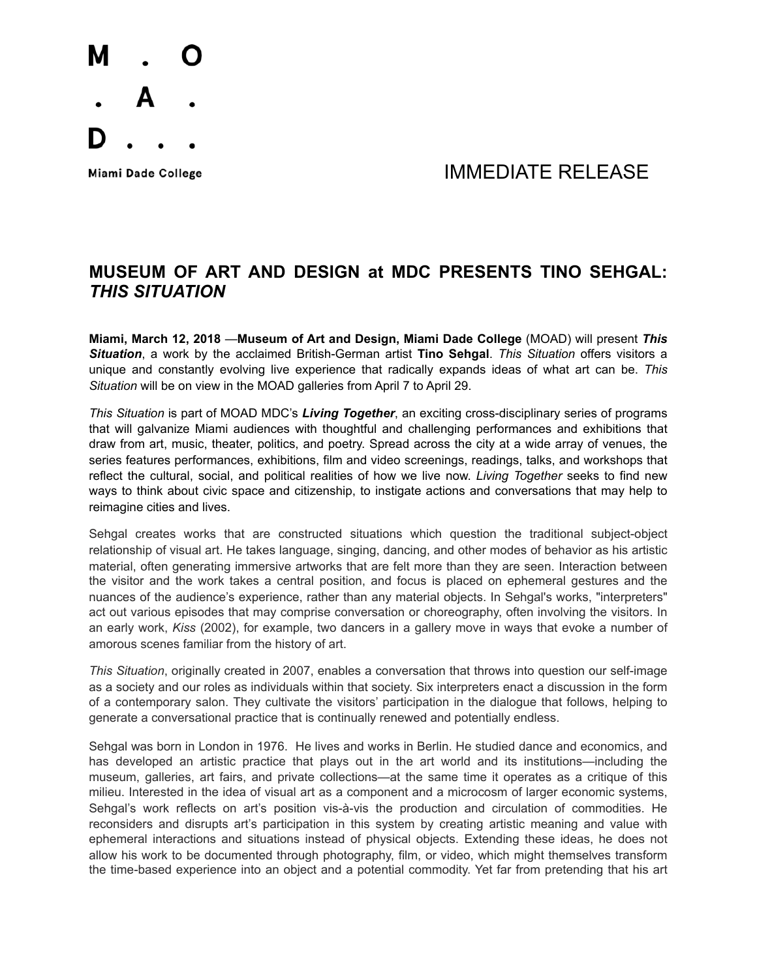

Miami Dade College **All Accords** College and The Manual MINIF DIATE RELEASE

## **MUSEUM OF ART AND DESIGN at MDC PRESENTS TINO SEHGAL:**  *THIS SITUATION*

**Miami, March 12, 2018** —**Museum of Art and Design, Miami Dade College** (MOAD) will present *This Situation*, a work by the acclaimed British-German artist **Tino Sehgal**. *This Situation* offers visitors a unique and constantly evolving live experience that radically expands ideas of what art can be. *This Situation* will be on view in the MOAD galleries from April 7 to April 29.

*This Situation* is part of MOAD MDC's *Living Together*, an exciting cross-disciplinary series of programs that will galvanize Miami audiences with thoughtful and challenging performances and exhibitions that draw from art, music, theater, politics, and poetry. Spread across the city at a wide array of venues, the series features performances, exhibitions, film and video screenings, readings, talks, and workshops that reflect the cultural, social, and political realities of how we live now. *Living Together* seeks to find new ways to think about civic space and citizenship, to instigate actions and conversations that may help to reimagine cities and lives.

Sehgal creates works that are constructed situations which question the traditional subject-object relationship of visual art. He takes language, singing, dancing, and other modes of behavior as his artistic material, often generating immersive artworks that are felt more than they are seen. Interaction between the visitor and the work takes a central position, and focus is placed on ephemeral gestures and the nuances of the audience's experience, rather than any material objects. In Sehgal's works, "interpreters" act out various episodes that may comprise conversation or choreography, often involving the visitors. In an early work, *Kiss* (2002), for example, two dancers in a gallery move in ways that evoke a number of amorous scenes familiar from the history of art.

*This Situation*, originally created in 2007, enables a conversation that throws into question our self-image as a society and our roles as individuals within that society. Six interpreters enact a discussion in the form of a contemporary salon. They cultivate the visitors' participation in the dialogue that follows, helping to generate a conversational practice that is continually renewed and potentially endless.

Sehgal was born in London in 1976. He lives and works in Berlin. He studied dance and economics, and has developed an artistic practice that plays out in the art world and its institutions—including the museum, galleries, art fairs, and private collections—at the same time it operates as a critique of this milieu. Interested in the idea of visual art as a component and a microcosm of larger economic systems, Sehgal's work reflects on art's position vis-à-vis the production and circulation of commodities. He reconsiders and disrupts art's participation in this system by creating artistic meaning and value with ephemeral interactions and situations instead of physical objects. Extending these ideas, he does not allow his work to be documented through photography, film, or video, which might themselves transform the time-based experience into an object and a potential commodity. Yet far from pretending that his art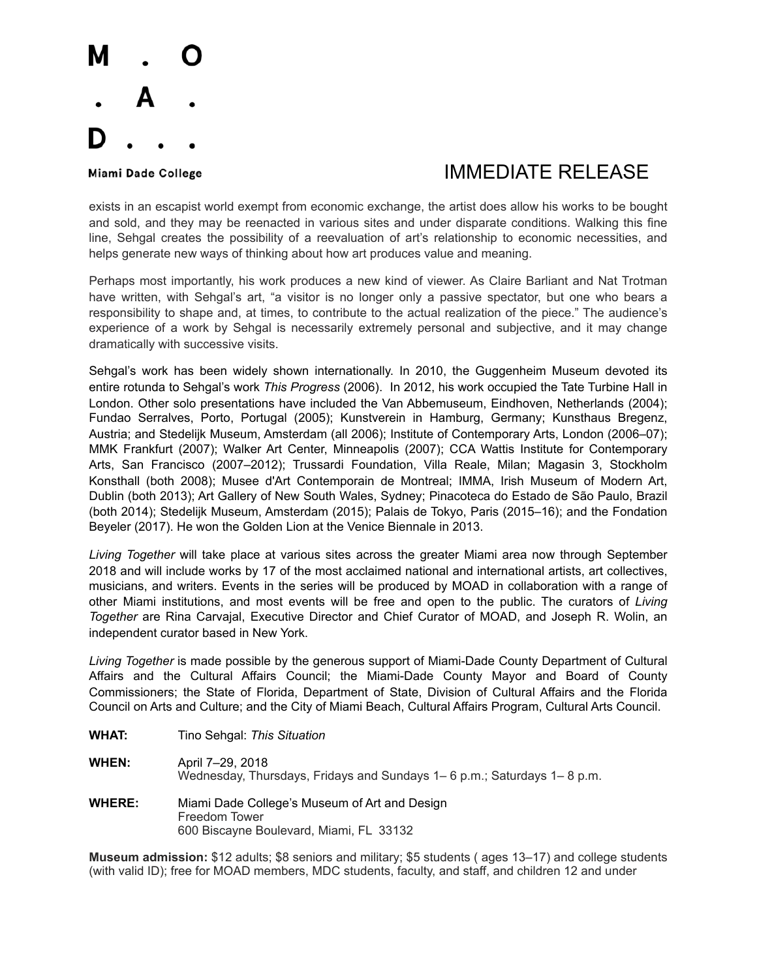# М

# Miami Dade College The College College College The College The College The Museum of the IMMEDIATE RELEASE

exists in an escapist world exempt from economic exchange, the artist does allow his works to be bought and sold, and they may be reenacted in various sites and under disparate conditions. Walking this fine line, Sehgal creates the possibility of a reevaluation of art's relationship to economic necessities, and helps generate new ways of thinking about how art produces value and meaning.

Perhaps most importantly, his work produces a new kind of viewer. As Claire Barliant and Nat Trotman have written, with Sehgal's art, "a visitor is no longer only a passive spectator, but one who bears a responsibility to shape and, at times, to contribute to the actual realization of the piece." The audience's experience of a work by Sehgal is necessarily extremely personal and subjective, and it may change dramatically with successive visits.

Sehgal's work has been widely shown internationally. In 2010, the Guggenheim Museum devoted its entire rotunda to Sehgal's work *This Progress* (2006). In 2012, his work occupied the Tate Turbine Hall in London. Other solo presentations have included the Van Abbemuseum, Eindhoven, Netherlands (2004); Fundao Serralves, Porto, Portugal (2005); Kunstverein in Hamburg, Germany; Kunsthaus Bregenz, Austria; and Stedelijk Museum, Amsterdam (all 2006); Institute of Contemporary Arts, London (2006–07); MMK Frankfurt (2007); Walker Art Center, Minneapolis (2007); CCA Wattis Institute for Contemporary Arts, San Francisco (2007–2012); Trussardi Foundation, Villa Reale, Milan; Magasin 3, Stockholm Konsthall (both 2008); Musee d'Art Contemporain de Montreal; IMMA, Irish Museum of Modern Art, Dublin (both 2013); Art Gallery of New South Wales, Sydney; Pinacoteca do Estado de São Paulo, Brazil (both 2014); Stedelijk Museum, Amsterdam (2015); Palais de Tokyo, Paris (2015–16); and the Fondation Beyeler (2017). He won the Golden Lion at the Venice Biennale in 2013.

*Living Together* will take place at various sites across the greater Miami area now through September 2018 and will include works by 17 of the most acclaimed national and international artists, art collectives, musicians, and writers. Events in the series will be produced by MOAD in collaboration with a range of other Miami institutions, and most events will be free and open to the public. The curators of *Living Together* are Rina Carvajal, Executive Director and Chief Curator of MOAD, and Joseph R. Wolin, an independent curator based in New York.

*Living Together* is made possible by the generous support of Miami-Dade County Department of Cultural Affairs and the Cultural Affairs Council; the Miami-Dade County Mayor and Board of County Commissioners; the State of Florida, Department of State, Division of Cultural Affairs and the Florida Council on Arts and Culture; and the City of Miami Beach, Cultural Affairs Program, Cultural Arts Council.

- **WHAT:** Tino Sehgal: *This Situation*
- **WHEN:** April 7–29, 2018 Wednesday, Thursdays, Fridays and Sundays 1– 6 p.m.; Saturdays 1– 8 p.m.
- **WHERE:** Miami Dade College's Museum of Art and Design Freedom Tower 600 Biscayne Boulevard, Miami, FL 33132

**Museum admission:** \$12 adults; \$8 seniors and military; \$5 students ( ages 13–17) and college students (with valid ID); free for MOAD members, MDC students, faculty, and staff, and children 12 and under